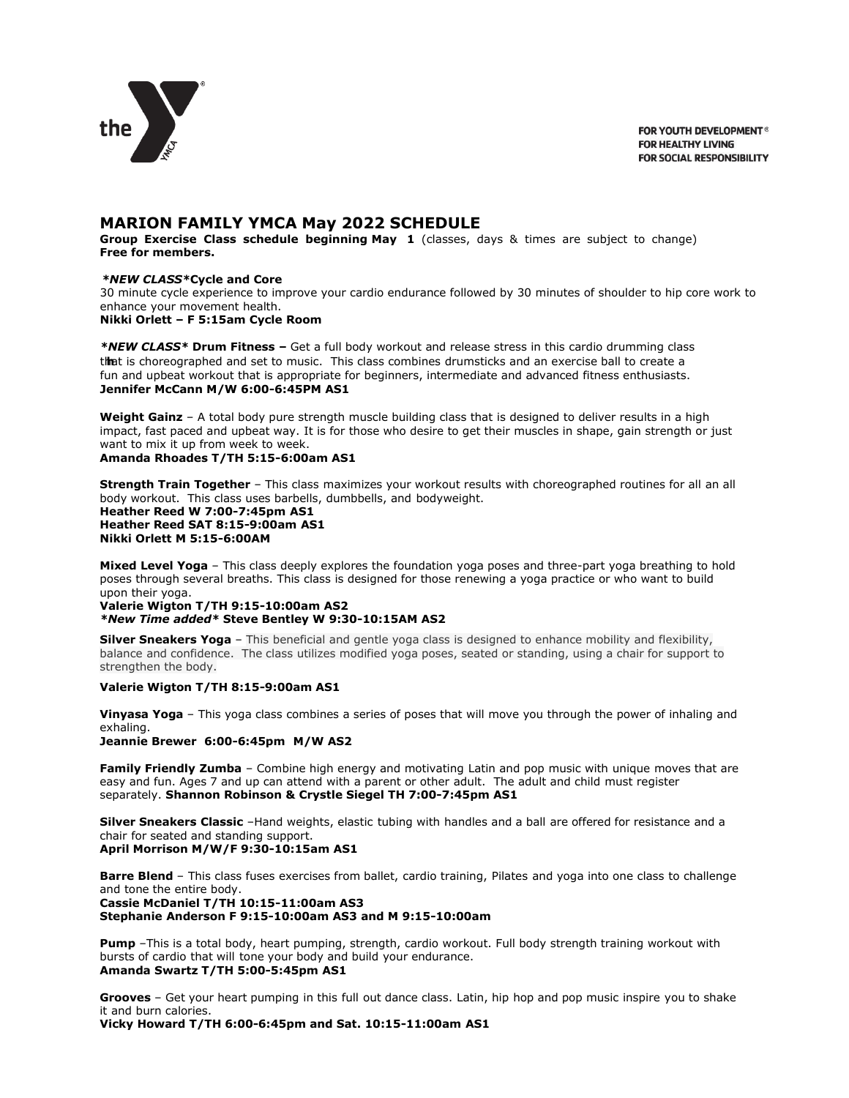

FOR YOUTH DEVELOPMENT® **FOR HEALTHY LIVING FOR SOCIAL RESPONSIBILITY** 

# **MARION FAMILY YMCA May 2022 SCHEDULE**

**Group Exercise Class schedule beginning May 1** (classes, days & times are subject to change) **Free for members.** 

#### *\*NEW CLASS\****Cycle and Core**

30 minute cycle experience to improve your cardio endurance followed by 30 minutes of shoulder to hip core work to enhance your movement health.

# **Nikki Orlett – F 5:15am Cycle Room**

**hreographed and set to music. The class combines drumsticks and an exercise ball to create** t**iln**at is choreographed and set to music. This class combines [drumsticks](https://groupexpro.com/schedule/873/?view=responsive) and an exercise ball to create a<br>fun and upbeat workout that is appropriate for beginners, intermediate and advanced fitness enthusiasts. *\*NEW CLASS\** **Drum Fitness –** Get a full body workout and release stress in this cardio drumming class **Jennifer McCann M/W 6:00-6:45PM AS1**

**Weight Gainz** – A total body pure strength muscle building class that is designed to deliver results in a high impact, fast paced and upbeat way. It is for those who desire to get their muscles in shape, gain strength or just want to mix it up from week to week. **Amanda Rhoades T/TH 5:15-6:00am AS1**

**Strength Train Together** – This class maximizes your workout results with choreographed routines for all an all body workout. This class uses barbells, dumbbells, and bodyweight. **Heather Reed W 7:00-7:45pm AS1 Heather Reed SAT 8:15-9:00am AS1 Nikki Orlett M 5:15-6:00AM**

**Mixed Level Yoga** – This class deeply explores the foundation yoga poses and three-part yoga breathing to hold poses through several breaths. This class is designed for those renewing a yoga practice or who want to build upon their yoga.

**Valerie Wigton T/TH 9:15-10:00am AS2**

*\*New Time added\** **Steve Bentley W 9:30-10:15AM AS2**

**Silver Sneakers Yoga** – This beneficial and gentle yoga class is designed to enhance mobility and flexibility, balance and confidence. The class utilizes modified yoga poses, seated or standing, using a chair for support to strengthen the body.

#### **Valerie Wigton T/TH 8:15-9:00am AS1**

**Vinyasa Yoga** – This yoga class combines a series of poses that will move you through the power of inhaling and exhaling.

**Jeannie Brewer 6:00-6:45pm M/W AS2**

**Family Friendly Zumba** – Combine high energy and motivating Latin and pop music with unique moves that are easy and fun. Ages 7 and up can attend with a parent or other adult. The adult and child must register separately. **Shannon Robinson & Crystle Siegel TH 7:00-7:45pm AS1**

**Silver Sneakers Classic** –Hand weights, elastic tubing with handles and a ball are offered for resistance and a chair for seated and standing support. **April Morrison M/W/F 9:30-10:15am AS1**

**Barre Blend** – This class fuses exercises from ballet, cardio training, Pilates and yoga into one class to challenge and tone the entire body. **Cassie McDaniel T/TH 10:15-11:00am AS3 Stephanie Anderson F 9:15-10:00am AS3 and M 9:15-10:00am**

**Pump** –This is a total body, heart pumping, strength, cardio workout. Full body strength training workout with bursts of cardio that will tone your body and build your endurance. **Amanda Swartz T/TH 5:00-5:45pm AS1**

**Grooves** – Get your heart pumping in this full out dance class. Latin, hip hop and pop music inspire you to shake it and burn calories.

**Vicky Howard T/TH 6:00-6:45pm and Sat. 10:15-11:00am AS1**